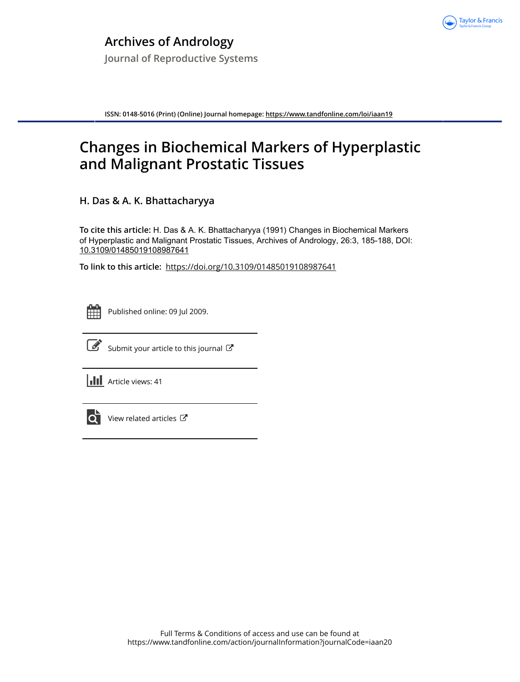

**ISSN: 0148-5016 (Print) (Online) Journal homepage:<https://www.tandfonline.com/loi/iaan19>**

# **Changes in Biochemical Markers of Hyperplastic and Malignant Prostatic Tissues**

**H. Das & A. K. Bhattacharyya**

**To cite this article:** H. Das & A. K. Bhattacharyya (1991) Changes in Biochemical Markers of Hyperplastic and Malignant Prostatic Tissues, Archives of Andrology, 26:3, 185-188, DOI: [10.3109/01485019108987641](https://www.tandfonline.com/action/showCitFormats?doi=10.3109/01485019108987641)

**To link to this article:** <https://doi.org/10.3109/01485019108987641>



Published online: 09 Jul 2009.



 $\overrightarrow{S}$  [Submit your article to this journal](https://www.tandfonline.com/action/authorSubmission?journalCode=iaan20&show=instructions)  $\overrightarrow{S}$ 

**III** Article views: 41



 $\overrightarrow{Q}$  [View related articles](https://www.tandfonline.com/doi/mlt/10.3109/01485019108987641)  $\overrightarrow{C}$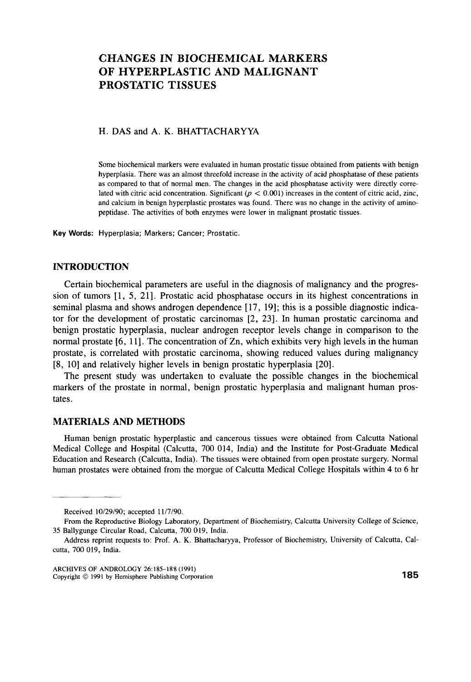## **CHANGES IN BIOCHEMICAL MARKERS OF HYPERPLASTIC AND MALIGNANT PROSTATIC TISSUES**

### H. DAS and A. K. BHATTACHARYYA

Some biochemical markers were evaluated in human prostatic tissue obtained **from** patients with benign hyperplasia. There was an almost threefold increase in the activity of acid phosphatase **of** these patients as compared **to** that of normal men. The changes in the acid phosphatase activity were directly correlated with citric acid concentration. Significant  $(p < 0.001)$  increases in the content of citric acid, zinc, and calcium in benign hyperplastic prostates was found. There was no change in the activity **of** aminopeptidase. The activities of both enzymes were lower in malignant prostatic tissues.

**Key Words: Hyperplasia; Markers; Cancer; Prostatic.** 

#### **INTRODUCTION**

Certain biochemical parameters are useful in the diagnosis of malignancy and the progression of tumors **[l,** 5, 211. Prostatic acid phosphatase occurs in its highest concentrations in seminal plasma and shows androgen dependence **[17, 191;** this is a possible diagnostic indicator for the development of prostatic carcinomas [2, **231.** In human prostatic carcinoma and benign prostatic hyperplasia, nuclear androgen receptor levels change in comparison to the normal prostate [6, 111. The concentration of Zn, which exhibits very high levels in the human prostate, is correlated with prostatic carcinoma, showing reduced values during malignancy **[8, 101** and relatively higher levels in benign prostatic hyperplasia [20].

The present study was undertaken to evaluate the possible changes in the biochemical markers of the prostate in normal, benign prostatic hyperplasia and malignant human prostates.

#### **MATERIALS AND METHODS**

Human benign prostatic hyperplastic and cancerous tissues were obtained from Calcutta National Medical College and Hospital (Calcutta, *700* 014, India) and the Institute for Post-Graduate Medical Education and Research (Calcutta, India). The tissues were obtained from open prostate surgery. Normal human prostates were obtained from the morgue of Calcutta Medical College Hospitals within 4 to **6** hr

Received 10/29/90; accepted 11/7/90.

**From** the Reproductive Biology Laboratory, Department of Biochemistry, Calcutta University College of Science, 35 Ballygunge Circular Road, Calcutta, 700 019, India.

Address reprint requests to: Prof. **A. K.** Bhattacharyya, Professor **of** Biochemistry, University of Calcutta, Calcutta, 700 019, India.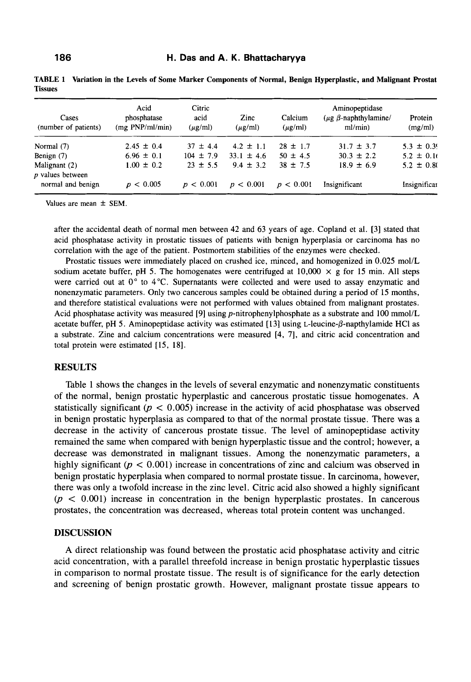| Cases<br>(number of patients)       | Acid<br>phosphatase<br>(mg PNP/ml/min) | Citric<br>acid<br>$(\mu$ g/ml) | Zinc<br>$(\mu$ g/ml) | Calcium<br>$(\mu$ g/ml) | Aminopeptidase<br>( $\mu$ g $\beta$ -naphthylamine/<br>ml/min) | Protein<br>(mg/ml) |
|-------------------------------------|----------------------------------------|--------------------------------|----------------------|-------------------------|----------------------------------------------------------------|--------------------|
| Normal $(7)$                        | $2.45 \pm 0.4$                         | $37 \pm 4.4$                   | $4.2 \pm 1.1$        | $28 \pm 1.7$            | $31.7 \pm 3.7$                                                 | $5.3 \pm 0.39$     |
| Benign (7)                          | $6.96 \pm 0.1$                         | $104 \pm 7.9$                  | $33.1 \pm 4.6$       | $50 \pm 4.5$            | $30.3 \pm 2.2$                                                 | $5.2 \pm 0.10$     |
| Malignant (2)<br>$p$ values between | $1.00 \pm 0.2$                         | $23 \pm 5.5$                   | $9.4 \pm 3.2$        | $38 \pm 7.5$            | $18.9 \pm 6.9$                                                 | $5.2 \pm 0.80$     |
| normal and benign                   | p < 0.005                              | p < 0.001                      | p < 0.001            | p < 0.001               | Insignificant                                                  | Insignificar       |

**TABLE 1 Variation in the Levels of Some Marker Components of Normal, Benign Hyperplastic, and Malignant F'rostat Tissues** 

Values are mean  $\pm$  SEM.

after the accidental death of normal men between 42 and 63 years of age. Copland et al. [3] stated that acid phosphatase activity in prostatic tissues of patients with benign hyperplasia or carcinoma has no correlation with the age of the patient. Postmortem stabilities of the enzymes were checked.

Prostatic tissues were immediately placed on crushed ice, minced, and homogenized in 0.025 mol/L sodium acetate buffer, pH 5. The homogenates were centrifuged at  $10,000 \times g$  for 15 min. All steps were carried out at 0" to **4°C.** Supernatants were collected and were used to assay enzymatic and nonenzymatic parameters. Only two cancerous samples could be obtained during a period of 15 months, and therefore statistical evaluations were not performed with values obtained from malignant prostates. Acid phosphatase activity was measured [9] using p-nitrophenylphosphate as a substrate and 100 mmol/L acetate buffer, pH 5. Aminopeptidase activity was estimated [ 131 using **L-leucine-P-napthylamide** HCl as a substrate. Zine and calcium concentrations were measured [4, **71,** and citric acid concentration and total protein were estimated [15, 181.

#### **RESULTS**

Table 1 shows the changes in the levels of several enzymatic and nonenzymatic constituents of the normal, benign prostatic hyperplastic and cancerous prostatic tissue homogenates. **A**  statistically significant ( $p < 0.005$ ) increase in the activity of acid phosphatase was observed in benign prostatic hyperplasia as compared to that of the normal prostate tissue. There was **a**  decrease in the activity of cancerous prostate tissue. The level of aminopeptidase activity remained the same when compared with benign hyperplastic tissue and the control; however, a decrease was demonstrated in malignant tissues. Among the nonenzymatic parameters, a highly significant ( $p < 0.001$ ) increase in concentrations of zinc and calcium was observed in benign prostatic hyperplasia when compared to normal prostate tissue. In carcinoma, however, there was only a twofold increase in the zinc level. Citric acid also showed a highly significant  $(p < 0.001)$  increase in concentration in the benign hyperplastic prostates. In cancerous prostates, the concentration was decreased, whereas total protein content was unchanged.

#### **DISCUSSION**

**A** direct relationship was found between the prostatic acid phosphatase activity and citric acid concentration, with a parallel threefold increase in benign prostatic hyperplastic tissues in comparison to normal prostate tissue. The result is of significance for the early detection and screening of benign prostatic growth. However, malignant prostate tissue appears to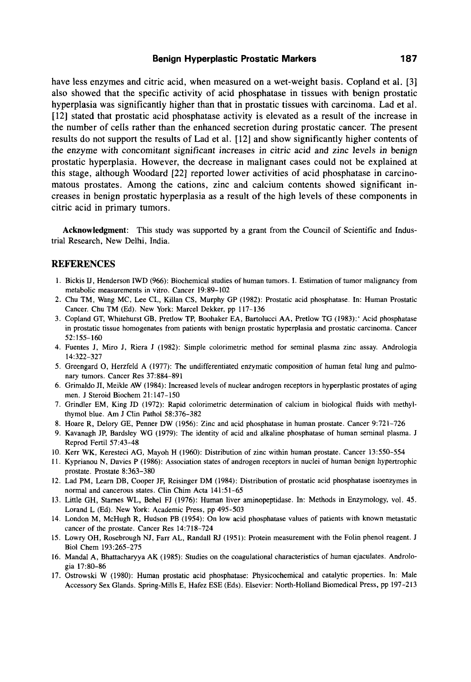#### **Benign Hyperplastic Prostatic Markers 187**

have less enzymes and citric acid, when measured on a wet-weight basis. Copland et al. [3] also showed that the specific activity of acid phosphatase in tissues with benign prostatic hyperplasia was significantly higher than that in prostatic tissues with carcinoma. Lad et al. [12] stated that prostatic acid phosphatase activity is elevated as a result of the increase in the number of cells rather than the enhanced secretion during prostatic cancer. The present results do not support the results of Lad et al. [12] and show significantly higher contents of the enzyme with concomitant significant increases in citric acid and zinc levels in benign prostatic hyperplasia. However, the decrease in malignant cases could not be explained at this stage, although Woodard [22] reported lower activities of acid phosphatase in carcinomatous prostates. Among the cations, zinc and calcium contents showed significant increases in benign prostatic hyperplasia as a result **of** the high levels of these components in citric acid in primary tumors.

Acknowledgment: This study was supported by a grant from the Council of Scientific and Industrial Research, New Delhi, India.

#### **REFERENCES**

- 1. Bickis IJ, Henderson IWD (966): Biochemical studies of human tumors. I. Estimation of tumor malignancy from metabolic measurements in vitro. Cancer 19:89-102
- 2. Chu TM, Wang MC, Lee CL, Killan CS, Murphy GP (1982): Prostatic acid phosphatase. In: Human Prostatic Cancer. Chu TM (Ed). New York: Marcel Dekker, pp 117-136
- 3. Copland GT, Whitehurst GB, Pretlow TP, Boohaker EA, Bartolucci AA, Pretlow TG (1983):' Acid phosphatase in prostatic tissue homogenates from patients with benign prostatic hyperplasia and prostatic carcinoma. Cancer 52:155-160
- 4. Fuentes J, Miro J, Riera **J** (1982): Simple colorimetric method for seminal plasma zinc assay. Andrologia 14:322-327
- 5. Greengard 0, Herzfeld A (1977): The undifferentiated enzymatic composition of human fetal lung and pulmonary tumors. Cancer Res 37:884-891
- 6. Grimaldo JI, Meikle AW (1984): Increased levels of nuclear androgen receptors in hyperplastic prostates of aging men. J Steroid Biochem 21: 147-150
- 7. Grindler EM, King JD (1972): Rapid colorimetric determination of calcium in biological fluids with methylthymol blue. Am **J** Clin Pathol 58:376-382
- 8. Hoare R, Delory GE, Penner DW (1956): Zinc and acid phosphatase in human prostate. Cancer 9:721-726
- 9. Kavanagh JP, Bardsley WG (1979): The identity of acid and alkaline phosphatase of human seminal plasma. J Reprod Fertil 57:43-48
- 10. Kerr WK, Keresteci AG, Mayoh H (1960): Distribution of zinc within human prostate. Cancer 13:550-554
- **11.** Kyprianou N, Davies P (1986): Association states of androgen receptors in nuclei of human benign hypertrophic prostate. Prostate 8:363-380
- 12. Lad PM, Learn DB, Cooper JF, Reisinger DM (1984): Distribution of prostatic acid phosphatase isoenzymes in normal and cancerous states. Clin Chim Acta 141:51-65
- 13. Little GH, Starnes WL, Behel FJ (1976): Human liver aminopeptidase. In: Methods in Enzymology, vol. 45. Lorand L (Ed). New York: Academic Press, pp 495-503
- 14. London M, McHugh R, Hudson PB (1954): On low acid phosphatase values of patients with known metastatic cancer of the prostate. Cancer Res 14:718-724
- 15. Lowry OH, Rosebrough NJ, Farr AL, Randall RJ (1951): Protein measurement with the Folin phenol reagent. J Biol Chem 193:265-275
- 16. Mandal A, Bhattacharyya AK (1985): Studies on the coagulational characteristics of human ejaculates. Andrologia 17:80-86
- 17. Ostrowski W (1980): Human prostatic acid phosphatase: Physicochemical and catalytic properties. In: Male Accessory **Sex** Glands. Spring-Mills E, Hafez ESE (Eds). Elsevier: North-Holland Biomedical Press, pp 197-213